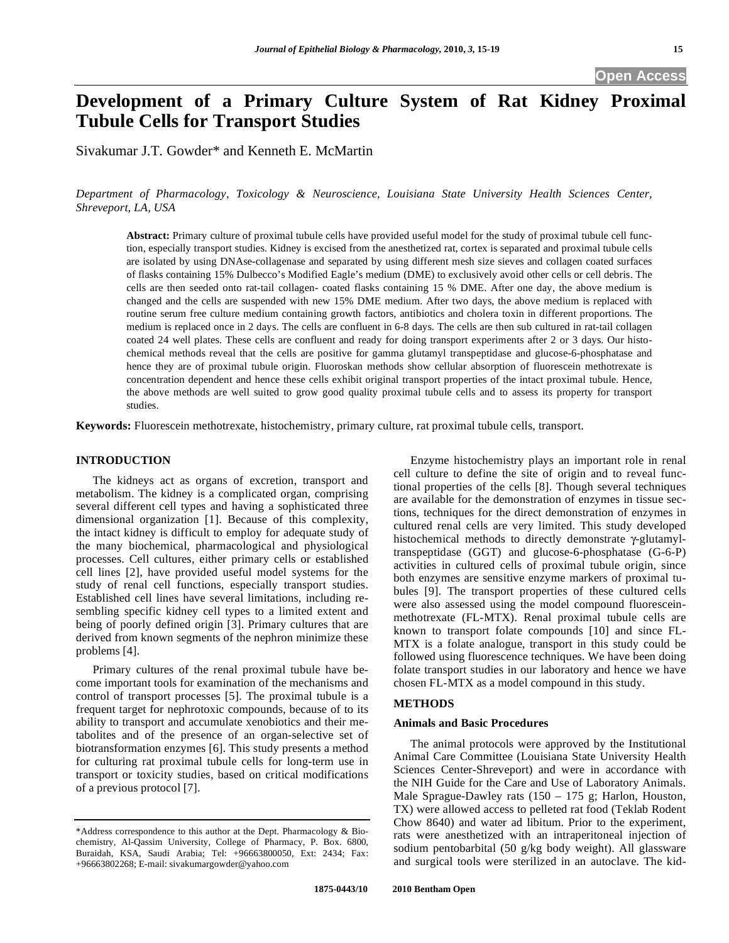# **Development of a Primary Culture System of Rat Kidney Proximal Tubule Cells for Transport Studies**

Sivakumar J.T. Gowder\* and Kenneth E. McMartin

*Department of Pharmacology, Toxicology & Neuroscience, Louisiana State University Health Sciences Center, Shreveport, LA, USA* 

**Abstract:** Primary culture of proximal tubule cells have provided useful model for the study of proximal tubule cell function, especially transport studies. Kidney is excised from the anesthetized rat, cortex is separated and proximal tubule cells are isolated by using DNAse-collagenase and separated by using different mesh size sieves and collagen coated surfaces of flasks containing 15% Dulbecco's Modified Eagle's medium (DME) to exclusively avoid other cells or cell debris. The cells are then seeded onto rat-tail collagen- coated flasks containing 15 % DME. After one day, the above medium is changed and the cells are suspended with new 15% DME medium. After two days, the above medium is replaced with routine serum free culture medium containing growth factors, antibiotics and cholera toxin in different proportions. The medium is replaced once in 2 days. The cells are confluent in 6-8 days. The cells are then sub cultured in rat-tail collagen coated 24 well plates. These cells are confluent and ready for doing transport experiments after 2 or 3 days. Our histochemical methods reveal that the cells are positive for gamma glutamyl transpeptidase and glucose-6-phosphatase and hence they are of proximal tubule origin. Fluoroskan methods show cellular absorption of fluorescein methotrexate is concentration dependent and hence these cells exhibit original transport properties of the intact proximal tubule. Hence, the above methods are well suited to grow good quality proximal tubule cells and to assess its property for transport studies.

**Keywords:** Fluorescein methotrexate, histochemistry, primary culture, rat proximal tubule cells, transport.

## **INTRODUCTION**

 The kidneys act as organs of excretion, transport and metabolism. The kidney is a complicated organ, comprising several different cell types and having a sophisticated three dimensional organization [1]. Because of this complexity, the intact kidney is difficult to employ for adequate study of the many biochemical, pharmacological and physiological processes. Cell cultures, either primary cells or established cell lines [2], have provided useful model systems for the study of renal cell functions, especially transport studies. Established cell lines have several limitations, including resembling specific kidney cell types to a limited extent and being of poorly defined origin [3]. Primary cultures that are derived from known segments of the nephron minimize these problems [4].

 Primary cultures of the renal proximal tubule have become important tools for examination of the mechanisms and control of transport processes [5]. The proximal tubule is a frequent target for nephrotoxic compounds, because of to its ability to transport and accumulate xenobiotics and their metabolites and of the presence of an organ-selective set of biotransformation enzymes [6]. This study presents a method for culturing rat proximal tubule cells for long-term use in transport or toxicity studies, based on critical modifications of a previous protocol [7].

 Enzyme histochemistry plays an important role in renal cell culture to define the site of origin and to reveal functional properties of the cells [8]. Though several techniques are available for the demonstration of enzymes in tissue sections, techniques for the direct demonstration of enzymes in cultured renal cells are very limited. This study developed histochemical methods to directly demonstrate  $\gamma$ -glutamyltranspeptidase (GGT) and glucose-6-phosphatase (G-6-P) activities in cultured cells of proximal tubule origin, since both enzymes are sensitive enzyme markers of proximal tubules [9]. The transport properties of these cultured cells were also assessed using the model compound fluoresceinmethotrexate (FL-MTX). Renal proximal tubule cells are known to transport folate compounds [10] and since FL-MTX is a folate analogue, transport in this study could be followed using fluorescence techniques. We have been doing folate transport studies in our laboratory and hence we have chosen FL-MTX as a model compound in this study.

#### **METHODS**

#### **Animals and Basic Procedures**

 The animal protocols were approved by the Institutional Animal Care Committee (Louisiana State University Health Sciences Center-Shreveport) and were in accordance with the NIH Guide for the Care and Use of Laboratory Animals. Male Sprague-Dawley rats (150 – 175 g; Harlon, Houston, TX) were allowed access to pelleted rat food (Teklab Rodent Chow 8640) and water ad libitum. Prior to the experiment, rats were anesthetized with an intraperitoneal injection of sodium pentobarbital (50 g/kg body weight). All glassware and surgical tools were sterilized in an autoclave. The kid-

<sup>\*</sup>Address correspondence to this author at the Dept. Pharmacology & Biochemistry, Al-Qassim University, College of Pharmacy, P. Box. 6800, Buraidah, KSA, Saudi Arabia; Tel: +96663800050, Ext: 2434; Fax: +96663802268; E-mail: sivakumargowder@yahoo.com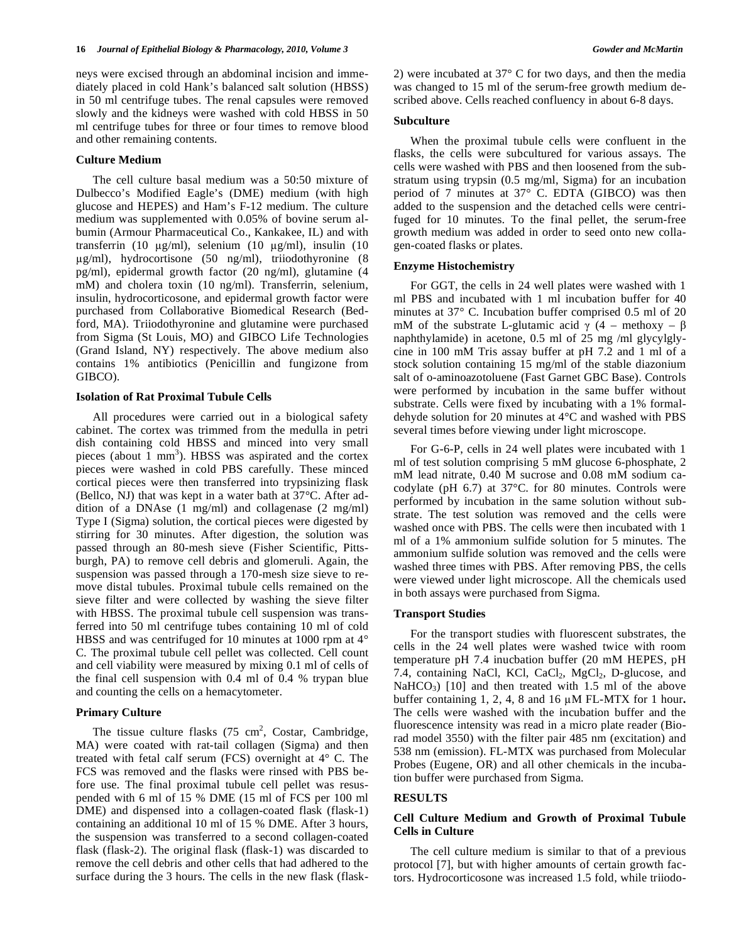neys were excised through an abdominal incision and immediately placed in cold Hank's balanced salt solution (HBSS) in 50 ml centrifuge tubes. The renal capsules were removed slowly and the kidneys were washed with cold HBSS in 50 ml centrifuge tubes for three or four times to remove blood and other remaining contents.

#### **Culture Medium**

 The cell culture basal medium was a 50:50 mixture of Dulbecco's Modified Eagle's (DME) medium (with high glucose and HEPES) and Ham's F-12 medium. The culture medium was supplemented with 0.05% of bovine serum albumin (Armour Pharmaceutical Co., Kankakee, IL) and with transferrin (10  $\mu$ g/ml), selenium (10  $\mu$ g/ml), insulin (10 g/ml), hydrocortisone (50 ng/ml), triiodothyronine (8 pg/ml), epidermal growth factor (20 ng/ml), glutamine (4 mM) and cholera toxin (10 ng/ml). Transferrin, selenium, insulin, hydrocorticosone, and epidermal growth factor were purchased from Collaborative Biomedical Research (Bedford, MA). Triiodothyronine and glutamine were purchased from Sigma (St Louis, MO) and GIBCO Life Technologies (Grand Island, NY) respectively. The above medium also contains 1% antibiotics (Penicillin and fungizone from GIBCO).

#### **Isolation of Rat Proximal Tubule Cells**

 All procedures were carried out in a biological safety cabinet. The cortex was trimmed from the medulla in petri dish containing cold HBSS and minced into very small pieces (about  $\overline{1}$  mm<sup>3</sup>). HBSS was aspirated and the cortex pieces were washed in cold PBS carefully. These minced cortical pieces were then transferred into trypsinizing flask (Bellco, NJ) that was kept in a water bath at 37°C. After addition of a DNAse (1 mg/ml) and collagenase (2 mg/ml) Type I (Sigma) solution, the cortical pieces were digested by stirring for 30 minutes. After digestion, the solution was passed through an 80-mesh sieve (Fisher Scientific, Pittsburgh, PA) to remove cell debris and glomeruli. Again, the suspension was passed through a 170-mesh size sieve to remove distal tubules. Proximal tubule cells remained on the sieve filter and were collected by washing the sieve filter with HBSS. The proximal tubule cell suspension was transferred into 50 ml centrifuge tubes containing 10 ml of cold HBSS and was centrifuged for 10 minutes at 1000 rpm at 4° C. The proximal tubule cell pellet was collected. Cell count and cell viability were measured by mixing 0.1 ml of cells of the final cell suspension with 0.4 ml of 0.4 % trypan blue and counting the cells on a hemacytometer.

## **Primary Culture**

The tissue culture flasks  $(75 \text{ cm}^2, \text{Costar}, \text{Cambridge}, \text{$ MA) were coated with rat-tail collagen (Sigma) and then treated with fetal calf serum (FCS) overnight at 4° C. The FCS was removed and the flasks were rinsed with PBS before use. The final proximal tubule cell pellet was resuspended with 6 ml of 15 % DME (15 ml of FCS per 100 ml DME) and dispensed into a collagen-coated flask (flask-1) containing an additional 10 ml of 15 % DME. After 3 hours, the suspension was transferred to a second collagen-coated flask (flask-2). The original flask (flask-1) was discarded to remove the cell debris and other cells that had adhered to the surface during the 3 hours. The cells in the new flask (flask2) were incubated at 37° C for two days, and then the media was changed to 15 ml of the serum-free growth medium described above. Cells reached confluency in about 6-8 days.

## **Subculture**

 When the proximal tubule cells were confluent in the flasks, the cells were subcultured for various assays. The cells were washed with PBS and then loosened from the substratum using trypsin (0.5 mg/ml, Sigma) for an incubation period of 7 minutes at 37° C. EDTA (GIBCO) was then added to the suspension and the detached cells were centrifuged for 10 minutes. To the final pellet, the serum-free growth medium was added in order to seed onto new collagen-coated flasks or plates.

#### **Enzyme Histochemistry**

 For GGT, the cells in 24 well plates were washed with 1 ml PBS and incubated with 1 ml incubation buffer for 40 minutes at 37° C. Incubation buffer comprised 0.5 ml of 20 mM of the substrate L-glutamic acid  $\gamma$  (4 – methoxy –  $\beta$ naphthylamide) in acetone, 0.5 ml of 25 mg /ml glycylglycine in 100 mM Tris assay buffer at pH 7.2 and 1 ml of a stock solution containing 15 mg/ml of the stable diazonium salt of o-aminoazotoluene (Fast Garnet GBC Base). Controls were performed by incubation in the same buffer without substrate. Cells were fixed by incubating with a 1% formaldehyde solution for 20 minutes at 4°C and washed with PBS several times before viewing under light microscope.

 For G-6-P, cells in 24 well plates were incubated with 1 ml of test solution comprising 5 mM glucose 6-phosphate, 2 mM lead nitrate, 0.40 M sucrose and 0.08 mM sodium cacodylate (pH 6.7) at 37°C. for 80 minutes. Controls were performed by incubation in the same solution without substrate. The test solution was removed and the cells were washed once with PBS. The cells were then incubated with 1 ml of a 1% ammonium sulfide solution for 5 minutes. The ammonium sulfide solution was removed and the cells were washed three times with PBS. After removing PBS, the cells were viewed under light microscope. All the chemicals used in both assays were purchased from Sigma.

### **Transport Studies**

 For the transport studies with fluorescent substrates, the cells in the 24 well plates were washed twice with room temperature pH 7.4 inucbation buffer (20 mM HEPES, pH 7.4, containing NaCl, KCl, CaCl<sub>2</sub>, MgCl<sub>2</sub>, D-glucose, and NaHCO<sub>3</sub>) [10] and then treated with 1.5 ml of the above buffer containing  $1, 2, 4, 8$  and  $16 \mu$ M FL-MTX for 1 hour. The cells were washed with the incubation buffer and the fluorescence intensity was read in a micro plate reader (Biorad model 3550) with the filter pair 485 nm (excitation) and 538 nm (emission). FL-MTX was purchased from Molecular Probes (Eugene, OR) and all other chemicals in the incubation buffer were purchased from Sigma.

## **RESULTS**

# **Cell Culture Medium and Growth of Proximal Tubule Cells in Culture**

 The cell culture medium is similar to that of a previous protocol [7], but with higher amounts of certain growth factors. Hydrocorticosone was increased 1.5 fold, while triiodo-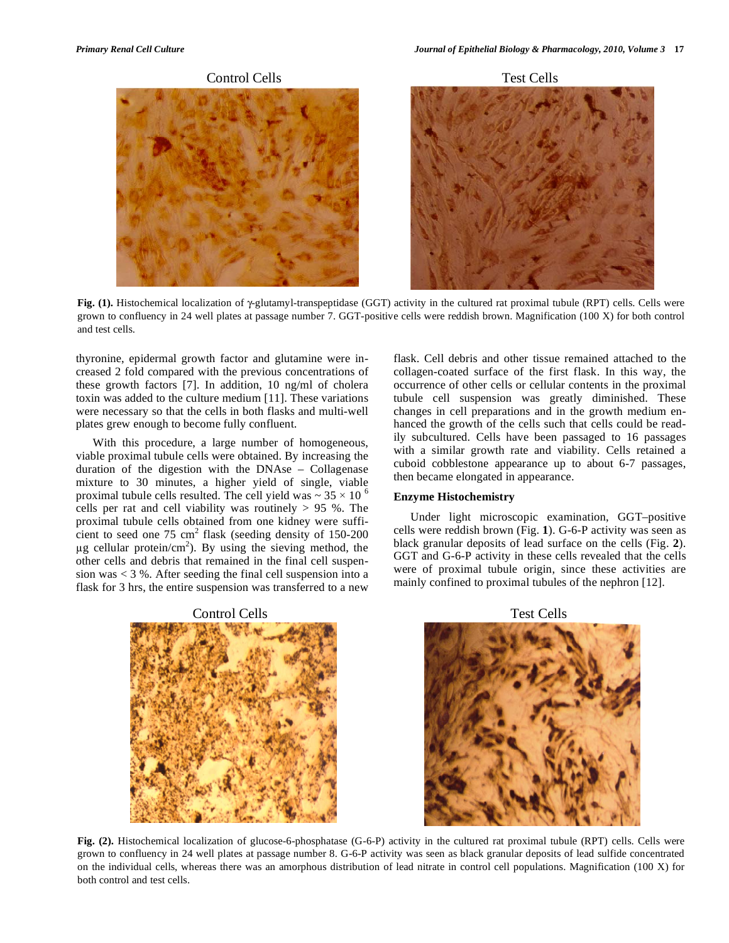



Fig. (1). Histochemical localization of  $\gamma$ -glutamyl-transpeptidase (GGT) activity in the cultured rat proximal tubule (RPT) cells. Cells were grown to confluency in 24 well plates at passage number 7. GGT-positive cells were reddish brown. Magnification (100 X) for both control and test cells.

thyronine, epidermal growth factor and glutamine were increased 2 fold compared with the previous concentrations of these growth factors [7]. In addition, 10 ng/ml of cholera toxin was added to the culture medium [11]. These variations were necessary so that the cells in both flasks and multi-well plates grew enough to become fully confluent.

 With this procedure, a large number of homogeneous, viable proximal tubule cells were obtained. By increasing the duration of the digestion with the DNAse – Collagenase mixture to 30 minutes, a higher yield of single, viable proximal tubule cells resulted. The cell yield was  $\sim$  35  $\times$  10<sup>6</sup> cells per rat and cell viability was routinely  $> 95$  %. The proximal tubule cells obtained from one kidney were sufficient to seed one  $75 \text{ cm}^2$  flask (seeding density of 150-200  $\mu$ g cellular protein/cm<sup>2</sup>). By using the sieving method, the other cells and debris that remained in the final cell suspension was  $<$  3 %. After seeding the final cell suspension into a flask for 3 hrs, the entire suspension was transferred to a new





flask. Cell debris and other tissue remained attached to the collagen-coated surface of the first flask. In this way, the occurrence of other cells or cellular contents in the proximal tubule cell suspension was greatly diminished. These changes in cell preparations and in the growth medium enhanced the growth of the cells such that cells could be readily subcultured. Cells have been passaged to 16 passages with a similar growth rate and viability. Cells retained a cuboid cobblestone appearance up to about 6-7 passages, then became elongated in appearance.

### **Enzyme Histochemistry**

 Under light microscopic examination, GGT–positive cells were reddish brown (Fig. **1**). G-6-P activity was seen as black granular deposits of lead surface on the cells (Fig. **2**). GGT and G-6-P activity in these cells revealed that the cells were of proximal tubule origin, since these activities are mainly confined to proximal tubules of the nephron [12].



**Fig. (2).** Histochemical localization of glucose-6-phosphatase (G-6-P) activity in the cultured rat proximal tubule (RPT) cells. Cells were grown to confluency in 24 well plates at passage number 8. G-6-P activity was seen as black granular deposits of lead sulfide concentrated on the individual cells, whereas there was an amorphous distribution of lead nitrate in control cell populations. Magnification (100 X) for both control and test cells.

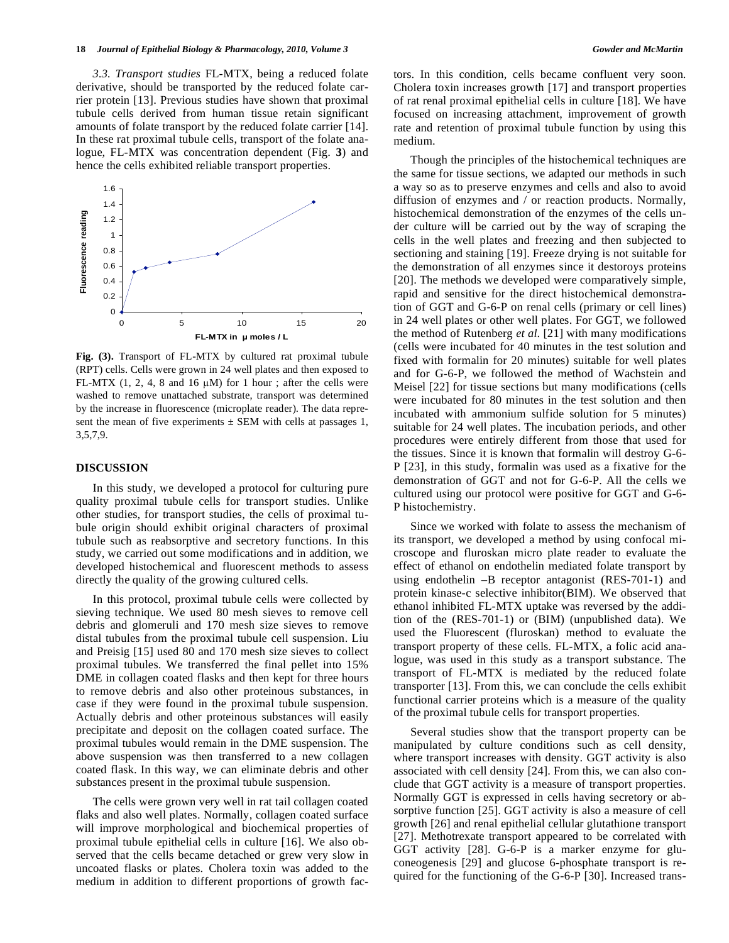*3.3. Transport studies* FL-MTX, being a reduced folate derivative, should be transported by the reduced folate carrier protein [13]. Previous studies have shown that proximal tubule cells derived from human tissue retain significant amounts of folate transport by the reduced folate carrier [14]. In these rat proximal tubule cells, transport of the folate analogue, FL-MTX was concentration dependent (Fig. **3**) and hence the cells exhibited reliable transport properties.



**Fig. (3).** Transport of FL-MTX by cultured rat proximal tubule (RPT) cells. Cells were grown in 24 well plates and then exposed to FL-MTX  $(1, 2, 4, 8 \text{ and } 16 \mu M)$  for 1 hour; after the cells were washed to remove unattached substrate, transport was determined by the increase in fluorescence (microplate reader). The data represent the mean of five experiments  $\pm$  SEM with cells at passages 1, 3,5,7,9.

#### **DISCUSSION**

 In this study, we developed a protocol for culturing pure quality proximal tubule cells for transport studies. Unlike other studies, for transport studies, the cells of proximal tubule origin should exhibit original characters of proximal tubule such as reabsorptive and secretory functions. In this study, we carried out some modifications and in addition, we developed histochemical and fluorescent methods to assess directly the quality of the growing cultured cells.

 In this protocol, proximal tubule cells were collected by sieving technique. We used 80 mesh sieves to remove cell debris and glomeruli and 170 mesh size sieves to remove distal tubules from the proximal tubule cell suspension. Liu and Preisig [15] used 80 and 170 mesh size sieves to collect proximal tubules. We transferred the final pellet into 15% DME in collagen coated flasks and then kept for three hours to remove debris and also other proteinous substances, in case if they were found in the proximal tubule suspension. Actually debris and other proteinous substances will easily precipitate and deposit on the collagen coated surface. The proximal tubules would remain in the DME suspension. The above suspension was then transferred to a new collagen coated flask. In this way, we can eliminate debris and other substances present in the proximal tubule suspension.

 The cells were grown very well in rat tail collagen coated flaks and also well plates. Normally, collagen coated surface will improve morphological and biochemical properties of proximal tubule epithelial cells in culture [16]. We also observed that the cells became detached or grew very slow in uncoated flasks or plates. Cholera toxin was added to the medium in addition to different proportions of growth factors. In this condition, cells became confluent very soon. Cholera toxin increases growth [17] and transport properties of rat renal proximal epithelial cells in culture [18]. We have focused on increasing attachment, improvement of growth rate and retention of proximal tubule function by using this medium.

 Though the principles of the histochemical techniques are the same for tissue sections, we adapted our methods in such a way so as to preserve enzymes and cells and also to avoid diffusion of enzymes and / or reaction products. Normally, histochemical demonstration of the enzymes of the cells under culture will be carried out by the way of scraping the cells in the well plates and freezing and then subjected to sectioning and staining [19]. Freeze drying is not suitable for the demonstration of all enzymes since it destoroys proteins [20]. The methods we developed were comparatively simple, rapid and sensitive for the direct histochemical demonstration of GGT and G-6-P on renal cells (primary or cell lines) in 24 well plates or other well plates. For GGT, we followed the method of Rutenberg *et al*. [21] with many modifications (cells were incubated for 40 minutes in the test solution and fixed with formalin for 20 minutes) suitable for well plates and for G-6-P, we followed the method of Wachstein and Meisel [22] for tissue sections but many modifications (cells were incubated for 80 minutes in the test solution and then incubated with ammonium sulfide solution for 5 minutes) suitable for 24 well plates. The incubation periods, and other procedures were entirely different from those that used for the tissues. Since it is known that formalin will destroy G-6- P [23], in this study, formalin was used as a fixative for the demonstration of GGT and not for G-6-P. All the cells we cultured using our protocol were positive for GGT and G-6- P histochemistry.

 Since we worked with folate to assess the mechanism of its transport, we developed a method by using confocal microscope and fluroskan micro plate reader to evaluate the effect of ethanol on endothelin mediated folate transport by using endothelin –B receptor antagonist (RES-701-1) and protein kinase-c selective inhibitor(BIM). We observed that ethanol inhibited FL-MTX uptake was reversed by the addition of the (RES-701-1) or (BIM) (unpublished data). We used the Fluorescent (fluroskan) method to evaluate the transport property of these cells. FL-MTX, a folic acid analogue, was used in this study as a transport substance. The transport of FL-MTX is mediated by the reduced folate transporter [13]. From this, we can conclude the cells exhibit functional carrier proteins which is a measure of the quality of the proximal tubule cells for transport properties.

 Several studies show that the transport property can be manipulated by culture conditions such as cell density, where transport increases with density. GGT activity is also associated with cell density [24]. From this, we can also conclude that GGT activity is a measure of transport properties. Normally GGT is expressed in cells having secretory or absorptive function [25]. GGT activity is also a measure of cell growth [26] and renal epithelial cellular glutathione transport [27]. Methotrexate transport appeared to be correlated with GGT activity [28]. G-6-P is a marker enzyme for gluconeogenesis [29] and glucose 6-phosphate transport is required for the functioning of the G-6-P [30]. Increased trans